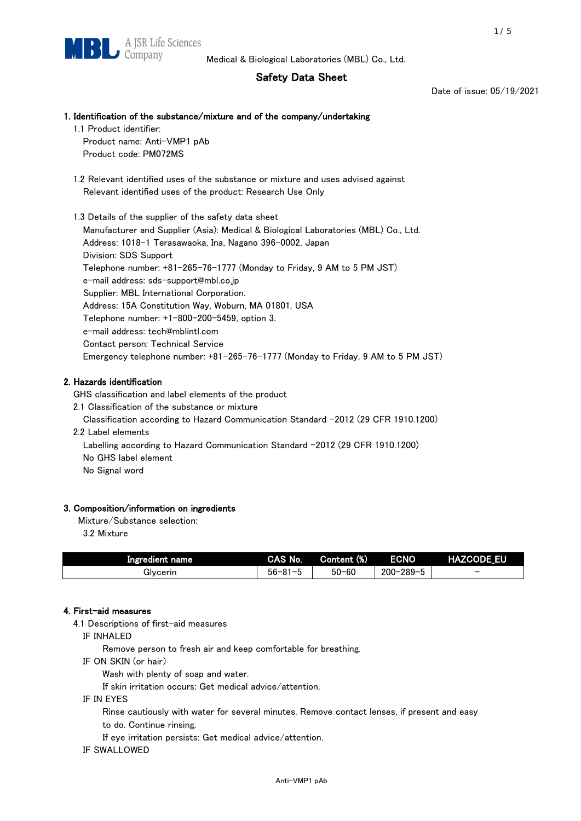# Safety Data Sheet

Date of issue: 05/19/2021

## 1. Identification of the substance/mixture and of the company/undertaking

1.1 Product identifier: Product name: Anti-VMP1 pAb Product code: PM072MS

 1.2 Relevant identified uses of the substance or mixture and uses advised against Relevant identified uses of the product: Research Use Only

 1.3 Details of the supplier of the safety data sheet Manufacturer and Supplier (Asia): Medical & Biological Laboratories (MBL) Co., Ltd. Address: 1018-1 Terasawaoka, Ina, Nagano 396-0002, Japan Division: SDS Support Telephone number: +81-265-76-1777 (Monday to Friday, 9 AM to 5 PM JST) e-mail address: sds-support@mbl.co.jp Supplier: MBL International Corporation. Address: 15A Constitution Way, Woburn, MA 01801, USA Telephone number: +1-800-200-5459, option 3. e-mail address: tech@mblintl.com Contact person: Technical Service Emergency telephone number: +81-265-76-1777 (Monday to Friday, 9 AM to 5 PM JST)

## 2. Hazards identification

GHS classification and label elements of the product

2.1 Classification of the substance or mixture

Classification according to Hazard Communication Standard -2012 (29 CFR 1910.1200)

2.2 Label elements

Labelling according to Hazard Communication Standard -2012 (29 CFR 1910.1200) No GHS label element

No Signal word

## 3. Composition/information on ingredients

Mixture/Substance selection:

3.2 Mixture

| Ingredient name | CAS No.             | Content (%) | <b>ECNO</b>                                              | <b>HAZCODE_EU</b>        |
|-----------------|---------------------|-------------|----------------------------------------------------------|--------------------------|
| Glvcerin        | $56 - 81 -$<br>ິບ ເ | $50 - 60$   | $-289 - 1$<br>$200 - 2$<br>$\overline{\phantom{0}}$<br>v | $\overline{\phantom{0}}$ |

## 4. First-aid measures

4.1 Descriptions of first-aid measures

IF INHALED

Remove person to fresh air and keep comfortable for breathing.

IF ON SKIN (or hair)

Wash with plenty of soap and water.

If skin irritation occurs: Get medical advice/attention.

IF IN EYES

Rinse cautiously with water for several minutes. Remove contact lenses, if present and easy

to do. Continue rinsing.

If eye irritation persists: Get medical advice/attention.

IF SWALLOWED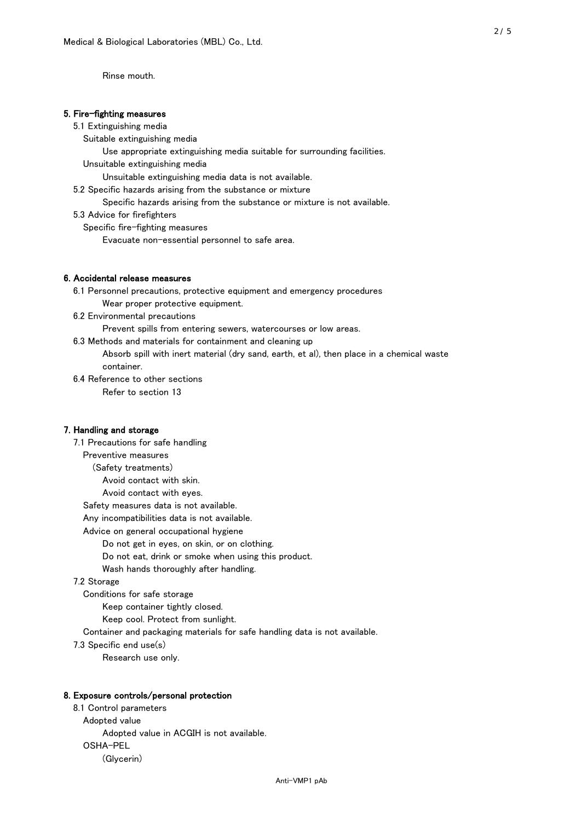Rinse mouth.

### 5. Fire-fighting measures

#### 5.1 Extinguishing media

Suitable extinguishing media

- Use appropriate extinguishing media suitable for surrounding facilities.
- Unsuitable extinguishing media

Unsuitable extinguishing media data is not available.

5.2 Specific hazards arising from the substance or mixture

Specific hazards arising from the substance or mixture is not available.

5.3 Advice for firefighters

Specific fire-fighting measures

Evacuate non-essential personnel to safe area.

#### 6. Accidental release measures

- 6.1 Personnel precautions, protective equipment and emergency procedures Wear proper protective equipment.
- 6.2 Environmental precautions

Prevent spills from entering sewers, watercourses or low areas.

6.3 Methods and materials for containment and cleaning up

- Absorb spill with inert material (dry sand, earth, et al), then place in a chemical waste container.
- 6.4 Reference to other sections

Refer to section 13

### 7. Handling and storage

 7.1 Precautions for safe handling Preventive measures (Safety treatments) Avoid contact with skin. Avoid contact with eyes. Safety measures data is not available. Any incompatibilities data is not available. Advice on general occupational hygiene Do not get in eyes, on skin, or on clothing. Do not eat, drink or smoke when using this product. Wash hands thoroughly after handling. 7.2 Storage Conditions for safe storage Keep container tightly closed. Keep cool. Protect from sunlight.

Container and packaging materials for safe handling data is not available.

7.3 Specific end use(s)

Research use only.

#### 8. Exposure controls/personal protection

 8.1 Control parameters Adopted value Adopted value in ACGIH is not available. OSHA-PEL (Glycerin)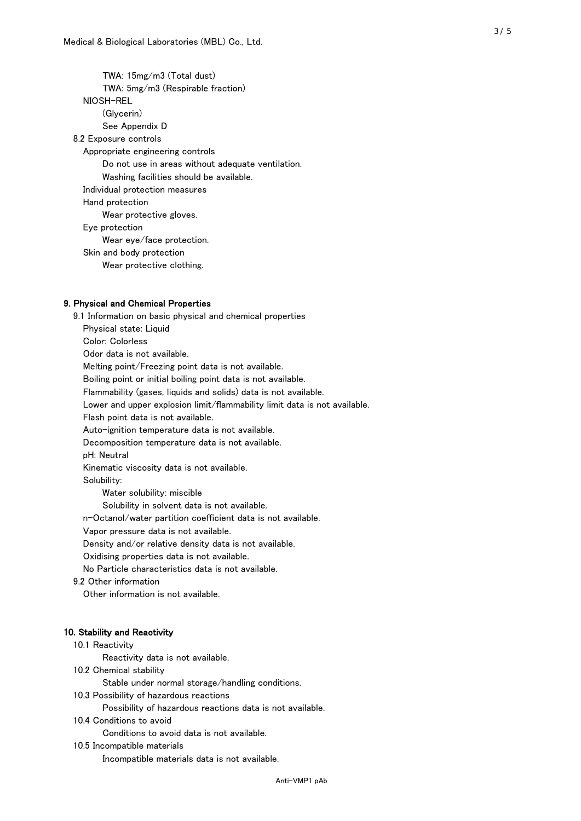TWA: 15mg/m3 (Total dust) TWA: 5mg/m3 (Respirable fraction) NIOSH-REL (Glycerin) See Appendix D 8.2 Exposure controls Appropriate engineering controls Do not use in areas without adequate ventilation. Washing facilities should be available. Individual protection measures Hand protection Wear protective gloves. Eye protection Wear eye/face protection. Skin and body protection Wear protective clothing.

## 9. Physical and Chemical Properties

 9.1 Information on basic physical and chemical properties Physical state: Liquid Color: Colorless Odor data is not available. Melting point/Freezing point data is not available. Boiling point or initial boiling point data is not available. Flammability (gases, liquids and solids) data is not available. Lower and upper explosion limit/flammability limit data is not available. Flash point data is not available. Auto-ignition temperature data is not available. Decomposition temperature data is not available. pH: Neutral Kinematic viscosity data is not available. Solubility: Water solubility: miscible Solubility in solvent data is not available. n-Octanol/water partition coefficient data is not available. Vapor pressure data is not available. Density and/or relative density data is not available. Oxidising properties data is not available. No Particle characteristics data is not available. 9.2 Other information Other information is not available. 10. Stability and Reactivity 10.1 Reactivity Reactivity data is not available. 10.2 Chemical stability Stable under normal storage/handling conditions. 10.3 Possibility of hazardous reactions

Possibility of hazardous reactions data is not available.

## 10.4 Conditions to avoid

Conditions to avoid data is not available.

#### 10.5 Incompatible materials

Incompatible materials data is not available.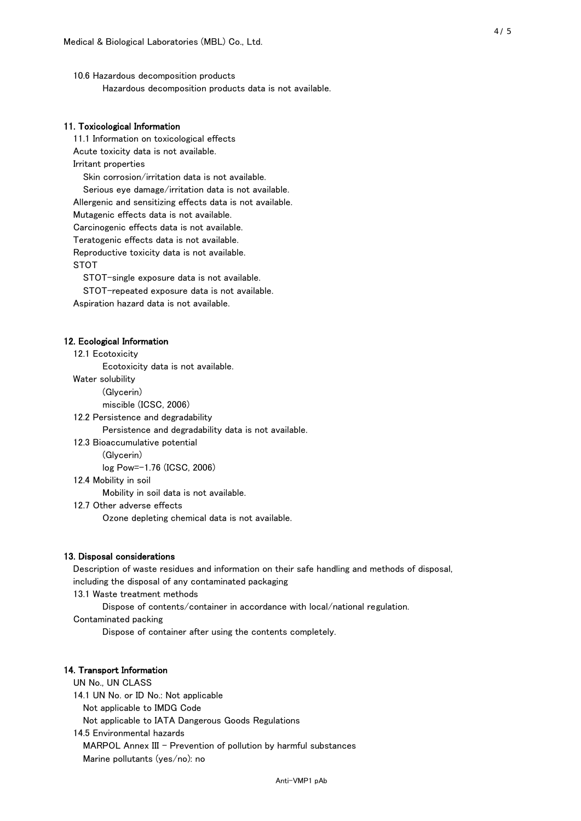10.6 Hazardous decomposition products Hazardous decomposition products data is not available.

## 11. Toxicological Information

 11.1 Information on toxicological effects Acute toxicity data is not available. Irritant properties Skin corrosion/irritation data is not available. Serious eye damage/irritation data is not available. Allergenic and sensitizing effects data is not available. Mutagenic effects data is not available. Carcinogenic effects data is not available. Teratogenic effects data is not available. Reproductive toxicity data is not available. STOT

STOT-single exposure data is not available.

STOT-repeated exposure data is not available.

Aspiration hazard data is not available.

#### 12. Ecological Information

12.1 Ecotoxicity

Ecotoxicity data is not available.

Water solubility

(Glycerin)

miscible (ICSC, 2006)

12.2 Persistence and degradability

Persistence and degradability data is not available.

12.3 Bioaccumulative potential

(Glycerin)

log Pow=-1.76 (ICSC, 2006)

12.4 Mobility in soil

Mobility in soil data is not available.

12.7 Other adverse effects

Ozone depleting chemical data is not available.

#### 13. Disposal considerations

 Description of waste residues and information on their safe handling and methods of disposal, including the disposal of any contaminated packaging

13.1 Waste treatment methods

Dispose of contents/container in accordance with local/national regulation.

Contaminated packing

Dispose of container after using the contents completely.

#### 14. Transport Information

 UN No., UN CLASS 14.1 UN No. or ID No.: Not applicable Not applicable to IMDG Code Not applicable to IATA Dangerous Goods Regulations

 14.5 Environmental hazards MARPOL Annex III - Prevention of pollution by harmful substances Marine pollutants (yes/no): no